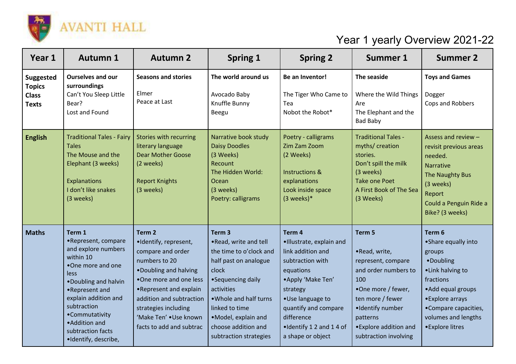

## Year 1 yearly Overview 2021-22

| Year 1                                                            | <b>Autumn 1</b>                                                                                                                                                                                                                                                          | <b>Autumn 2</b>                                                                                                                                                                                                                                                          | <b>Spring 1</b>                                                                                                                                                                                                                                                | <b>Spring 2</b>                                                                                                                                                                                                                       | <b>Summer 1</b>                                                                                                                                                                                           | <b>Summer 2</b>                                                                                                                                                                                     |
|-------------------------------------------------------------------|--------------------------------------------------------------------------------------------------------------------------------------------------------------------------------------------------------------------------------------------------------------------------|--------------------------------------------------------------------------------------------------------------------------------------------------------------------------------------------------------------------------------------------------------------------------|----------------------------------------------------------------------------------------------------------------------------------------------------------------------------------------------------------------------------------------------------------------|---------------------------------------------------------------------------------------------------------------------------------------------------------------------------------------------------------------------------------------|-----------------------------------------------------------------------------------------------------------------------------------------------------------------------------------------------------------|-----------------------------------------------------------------------------------------------------------------------------------------------------------------------------------------------------|
| <b>Suggested</b><br><b>Topics</b><br><b>Class</b><br><b>Texts</b> | <b>Ourselves and our</b><br>surroundings<br>Can't You Sleep Little<br>Bear?<br>Lost and Found                                                                                                                                                                            | <b>Seasons and stories</b><br>Elmer<br>Peace at Last                                                                                                                                                                                                                     | The world around us<br>Avocado Baby<br>Knuffle Bunny<br>Beegu                                                                                                                                                                                                  | Be an Inventor!<br>The Tiger Who Came to<br>Tea<br>Nobot the Robot*                                                                                                                                                                   | The seaside<br>Where the Wild Things<br>Are<br>The Elephant and the<br><b>Bad Baby</b>                                                                                                                    | <b>Toys and Games</b><br>Dogger<br>Cops and Robbers                                                                                                                                                 |
| <b>English</b>                                                    | <b>Traditional Tales - Fairy</b><br><b>Tales</b><br>The Mouse and the<br>Elephant (3 weeks)<br>Explanations<br>I don't like snakes<br>(3 weeks)                                                                                                                          | Stories with recurring<br>literary language<br><b>Dear Mother Goose</b><br>(2 weeks)<br><b>Report Knights</b><br>(3 weeks)                                                                                                                                               | Narrative book study<br><b>Daisy Doodles</b><br>(3 Weeks)<br>Recount<br>The Hidden World:<br>Ocean<br>(3 weeks)<br>Poetry: calligrams                                                                                                                          | Poetry - calligrams<br>Zim Zam Zoom<br>(2 Weeks)<br>Instructions &<br>explanations<br>Look inside space<br>$(3$ weeks)*                                                                                                               | <b>Traditional Tales -</b><br>myths/ creation<br>stories.<br>Don't spill the milk<br>(3 weeks)<br><b>Take one Poet</b><br>A First Book of The Sea<br>(3 Weeks)                                            | Assess and review -<br>revisit previous areas<br>needed.<br><b>Narrative</b><br>The Naughty Bus<br>(3 weeks)<br>Report<br>Could a Penguin Ride a<br>Bike? (3 weeks)                                 |
| <b>Maths</b>                                                      | Term 1<br>•Represent, compare<br>and explore numbers<br>within 10<br>•One more and one<br><b>less</b><br>. Doubling and halvin<br>•Represent and<br>explain addition and<br>subtraction<br>•Commutativity<br>• Addition and<br>subtraction facts<br>·Identify, describe, | Term <sub>2</sub><br>·Identify, represent,<br>compare and order<br>numbers to 20<br>. Doubling and halving<br>.One more and one less<br>•Represent and explain<br>addition and subtraction<br>strategies including<br>'Make Ten' . Use known<br>facts to add and subtrac | Term <sub>3</sub><br>.Read, write and tell<br>the time to o'clock and<br>half past on analogue<br>clock<br>•Sequencing daily<br>activities<br>. Whole and half turns<br>linked to time<br>·Model, explain and<br>choose addition and<br>subtraction strategies | Term 4<br>·Illustrate, explain and<br>link addition and<br>subtraction with<br>equations<br>• Apply 'Make Ten'<br>strategy<br>·Use language to<br>quantify and compare<br>difference<br>.Identify 1 2 and 1 4 of<br>a shape or object | Term 5<br>•Read, write,<br>represent, compare<br>and order numbers to<br>100<br>•One more / fewer,<br>ten more / fewer<br>·Identify number<br>patterns<br>• Explore addition and<br>subtraction involving | Term 6<br>• Share equally into<br>groups<br>•Doubling<br>·Link halving to<br>fractions<br>• Add equal groups<br>• Explore arrays<br>•Compare capacities,<br>volumes and lengths<br>• Explore litres |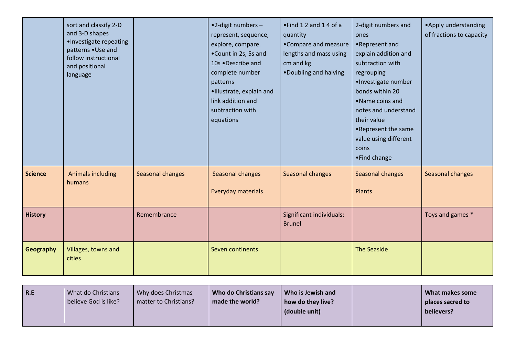|                  | sort and classify 2-D<br>and 3-D shapes<br>·Investigate repeating<br>patterns . Use and<br>follow instructional<br>and positional<br>language |                  | •2-digit numbers-<br>represent, sequence,<br>explore, compare.<br>.Count in 2s, 5s and<br>10s .Describe and<br>complete number<br>patterns<br>·Illustrate, explain and<br>link addition and<br>subtraction with<br>equations | . Find 1 2 and 1 4 of a<br>quantity<br>•Compare and measure<br>lengths and mass using<br>cm and kg<br>. Doubling and halving | 2-digit numbers and<br>ones<br>•Represent and<br>explain addition and<br>subtraction with<br>regrouping<br>·Investigate number<br>bonds within 20<br>•Name coins and<br>notes and understand<br>their value<br>.Represent the same<br>value using different<br>coins<br>•Find change | • Apply understanding<br>of fractions to capacity |
|------------------|-----------------------------------------------------------------------------------------------------------------------------------------------|------------------|------------------------------------------------------------------------------------------------------------------------------------------------------------------------------------------------------------------------------|------------------------------------------------------------------------------------------------------------------------------|--------------------------------------------------------------------------------------------------------------------------------------------------------------------------------------------------------------------------------------------------------------------------------------|---------------------------------------------------|
| <b>Science</b>   | Animals including<br>humans                                                                                                                   | Seasonal changes | Seasonal changes<br>Everyday materials                                                                                                                                                                                       | Seasonal changes                                                                                                             | Seasonal changes<br>Plants                                                                                                                                                                                                                                                           | Seasonal changes                                  |
| <b>History</b>   |                                                                                                                                               | Remembrance      |                                                                                                                                                                                                                              | Significant individuals:<br><b>Brunel</b>                                                                                    |                                                                                                                                                                                                                                                                                      | Toys and games *                                  |
| <b>Geography</b> | Villages, towns and<br>cities                                                                                                                 |                  | Seven continents                                                                                                                                                                                                             |                                                                                                                              | <b>The Seaside</b>                                                                                                                                                                                                                                                                   |                                                   |

| R.E | What do Christians<br>believe God is like? | Why does Christmas<br>matter to Christians? | Who do Christians say<br>made the world? | Who is Jewish and<br>how do they live?<br>(double unit) |  | What makes some<br>places sacred to<br>believers? |
|-----|--------------------------------------------|---------------------------------------------|------------------------------------------|---------------------------------------------------------|--|---------------------------------------------------|
|-----|--------------------------------------------|---------------------------------------------|------------------------------------------|---------------------------------------------------------|--|---------------------------------------------------|